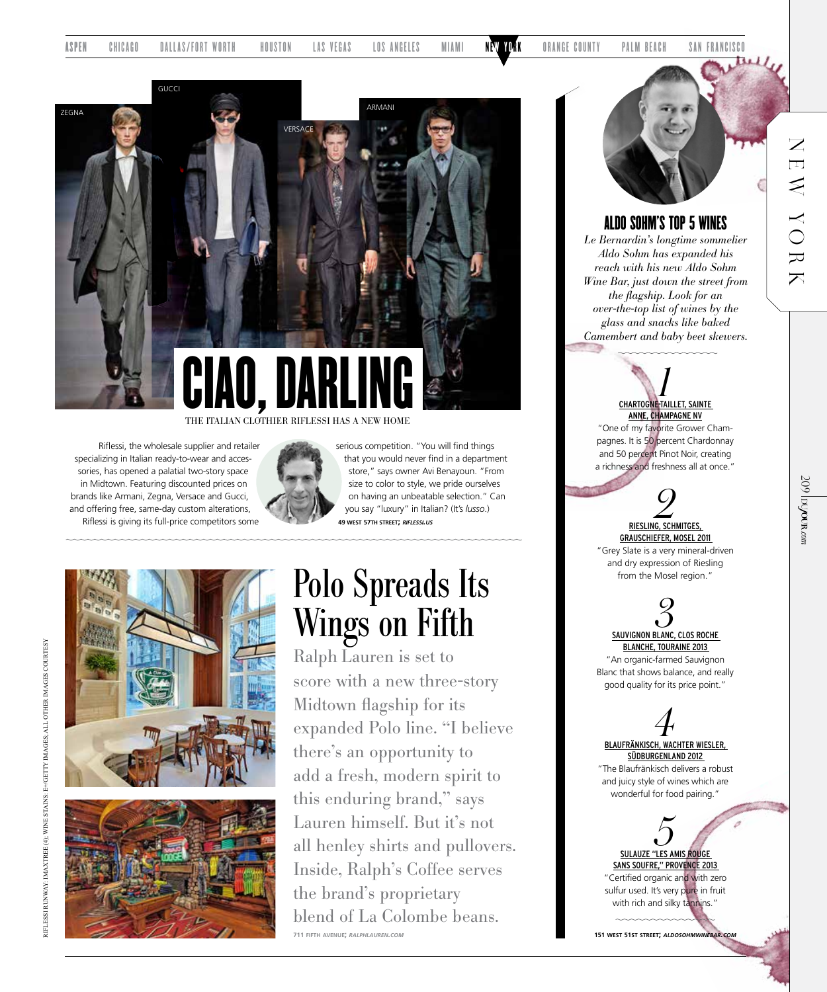

THE ITALIAN CLOTHIER RIFLESSI HAS A NEW HOME

Riflessi, the wholesale supplier and retailer specializing in Italian ready-to-wear and accessories, has opened a palatial two-story space in Midtown. Featuring discounted prices on brands like Armani, Zegna, Versace and Gucci, and offering free, same-day custom alterations, Riflessi is giving its full-price competitors some



serious competition. "You will find things that you would never find in a department store," says owner Avi Benayoun. "From size to color to style, we pride ourselves on having an unbeatable selection." Can you say "luxury" in Italian? (It's *lusso*.) **49 west 57th street;** *riflessi.us*



## Polo Spreads Its Wings on Fifth

Ralph Lauren is set to score with a new three-story Midtown flagship for its expanded Polo line. "I believe there's an opportunity to add a fresh, modern spirit to this enduring brand," says Lauren himself. But it's not all henley shirts and pullovers. Inside, Ralph's Coffee serves the brand's proprietary blend of La Colombe beans. **711 fifth avenue;** *ralphlauren.com*



#### ALDO SOHM'S TOP 5 WINES

*Le Bernardin's longtime sommelier Aldo Sohm has expanded his reach with his new Aldo Sohm Wine Bar, just down the street from the flagship. Look for an over-the-top list of wines by the glass and snacks like baked Camembert and baby beet skewers.* 

> **CHARTOGNE-TAILLET, SAINTE** ANNE, CHAMPAGNE NV "One of my favorite Grower Cham-

pagnes. It is 50 percent Chardonnay and 50 percent Pinot Noir, creating a richness and freshness all at once."

# **2**<br>RIESLING, SCHMITGES,

GRAUSCHIEFER, MOSEL 2011 "Grey Slate is a very mineral-driven and dry expression of Riesling from the Mosel region."

> **3**<br>SAUVIGNON BLANC, CLOS ROCHE BLANCHE, TOURAINE 2013

"An organic-farmed Sauvignon Blanc that shows balance, and really good quality for its price point."

*4* BLAUFRÄNKISCH, WACHTER WIESLER, SÜDBURGENLAND 2012

"The Blaufränkisch delivers a robust and juicy style of wines which are wonderful for food pairing.'

*5* SULAUZE "LES AMIS ROUGE SANS SOUFRE," PROVENCE 2013 "Certified organic and with zero sulfur used. It's very pure in fruit with rich and silky tannins."

**151 west 51st street;** *aldosohmwinebar.com*